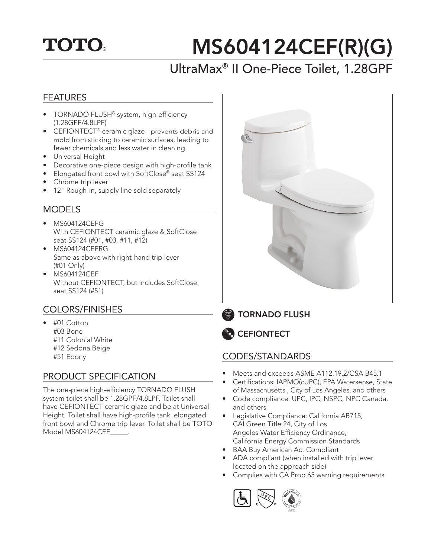## **TOTO.**

# MS604124CEF(R)(G)

## UltraMax® II One-Piece Toilet, 1.28GPF

#### FEATURES

- TORNADO FLUSH® system, high-efficiency (1.28GPF/4.8LPF)
- CEFIONTECT<sup>®</sup> ceramic glaze prevents debris and mold from sticking to ceramic surfaces, leading to fewer chemicals and less water in cleaning.
- Universal Height
- Decorative one-piece design with high-profile tank
- Elongated front bowl with SoftClose® seat SS124
- Chrome trip lever
- 12" Rough-in, supply line sold separately

#### **MODELS**

- MS604124CEFG With CEFIONTECT ceramic glaze & SoftClose seat SS124 (#01, #03, #11, #12)
- MS604124CEFRG Same as above with right-hand trip lever (#01 Only)
- MS604124CEF Without CEFIONTECT, but includes SoftClose seat SS124 (#51)

#### COLORS/FINISHES

- #01 Cotton #03 Bone #11 Colonial White #12 Sedona Beige #51 Ebony
- PRODUCT SPECIFICATION

The one-piece high-efficiency TORNADO FLUSH system toilet shall be 1.28GPF/4.8LPF. Toilet shall have CEFIONTECT ceramic glaze and be at Universal Height. Toilet shall have high-profile tank, elongated front bowl and Chrome trip lever. Toilet shall be TOTO Model MS604124CEF



TORNADO FLUSH



#### CODES/STANDARDS

- Meets and exceeds ASME A112.19.2/CSA B45.1
- Certifications: IAPMO(cUPC), EPA Watersense, State of Massachusetts , City of Los Angeles, and others
- Code compliance: UPC, IPC, NSPC, NPC Canada, and others
- Legislative Compliance: California AB715, CALGreen Title 24, City of Los Angeles Water Efficiency Ordinance, California Energy Commission Standards
- BAA Buy American Act Compliant
- ADA compliant (when installed with trip lever located on the approach side)
- Complies with CA Prop 65 warning requirements